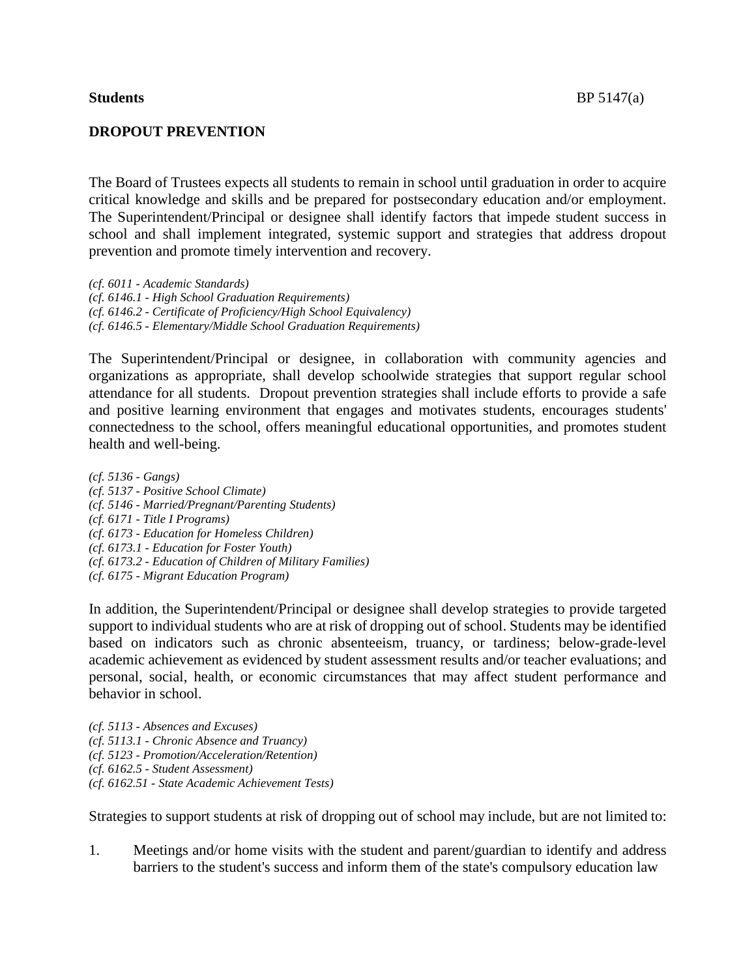# **DROPOUT PREVENTION**

The Board of Trustees expects all students to remain in school until graduation in order to acquire critical knowledge and skills and be prepared for postsecondary education and/or employment. The Superintendent/Principal or designee shall identify factors that impede student success in school and shall implement integrated, systemic support and strategies that address dropout prevention and promote timely intervention and recovery.

*(cf. 6011 - Academic Standards) (cf. 6146.1 - High School Graduation Requirements) (cf. 6146.2 - Certificate of Proficiency/High School Equivalency) (cf. 6146.5 - Elementary/Middle School Graduation Requirements)*

The Superintendent/Principal or designee, in collaboration with community agencies and organizations as appropriate, shall develop schoolwide strategies that support regular school attendance for all students. Dropout prevention strategies shall include efforts to provide a safe and positive learning environment that engages and motivates students, encourages students' connectedness to the school, offers meaningful educational opportunities, and promotes student health and well-being.

*(cf. 5136 - Gangs) (cf. 5137 - Positive School Climate) (cf. 5146 - Married/Pregnant/Parenting Students) (cf. 6171 - Title I Programs) (cf. 6173 - Education for Homeless Children) (cf. 6173.1 - Education for Foster Youth) (cf. 6173.2 - Education of Children of Military Families) (cf. 6175 - Migrant Education Program)*

In addition, the Superintendent/Principal or designee shall develop strategies to provide targeted support to individual students who are at risk of dropping out of school. Students may be identified based on indicators such as chronic absenteeism, truancy, or tardiness; below-grade-level academic achievement as evidenced by student assessment results and/or teacher evaluations; and personal, social, health, or economic circumstances that may affect student performance and behavior in school.

*(cf. 5113 - Absences and Excuses) (cf. 5113.1 - Chronic Absence and Truancy) (cf. 5123 - Promotion/Acceleration/Retention) (cf. 6162.5 - Student Assessment) (cf. 6162.51 - State Academic Achievement Tests)*

Strategies to support students at risk of dropping out of school may include, but are not limited to:

1. Meetings and/or home visits with the student and parent/guardian to identify and address barriers to the student's success and inform them of the state's compulsory education law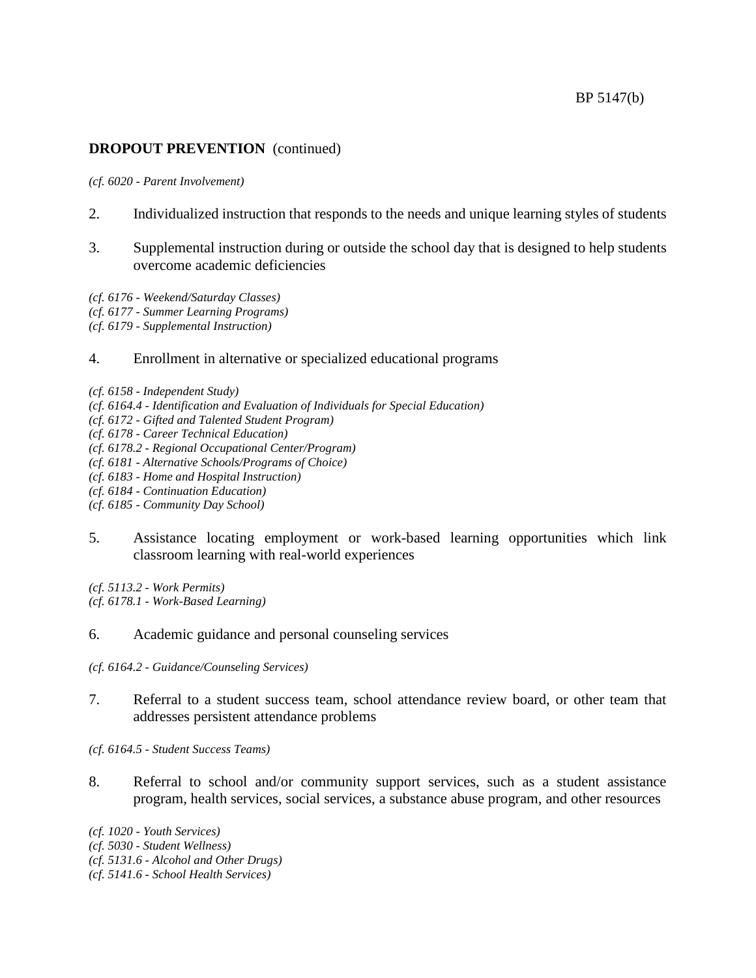# **DROPOUT PREVENTION** (continued)

### *(cf. 6020 - Parent Involvement)*

- 2. Individualized instruction that responds to the needs and unique learning styles of students
- 3. Supplemental instruction during or outside the school day that is designed to help students overcome academic deficiencies
- *(cf. 6176 - Weekend/Saturday Classes)*
- *(cf. 6177 - Summer Learning Programs)*
- *(cf. 6179 - Supplemental Instruction)*
- 4. Enrollment in alternative or specialized educational programs
- *(cf. 6158 - Independent Study)*
- *(cf. 6164.4 - Identification and Evaluation of Individuals for Special Education)*
- *(cf. 6172 - Gifted and Talented Student Program)*
- *(cf. 6178 - Career Technical Education)*
- *(cf. 6178.2 - Regional Occupational Center/Program)*
- *(cf. 6181 - Alternative Schools/Programs of Choice)*
- *(cf. 6183 - Home and Hospital Instruction)*
- *(cf. 6184 - Continuation Education)*
- *(cf. 6185 - Community Day School)*
- 5. Assistance locating employment or work-based learning opportunities which link classroom learning with real-world experiences

*(cf. 5113.2 - Work Permits) (cf. 6178.1 - Work-Based Learning)*

6. Academic guidance and personal counseling services

*(cf. 6164.2 - Guidance/Counseling Services)*

7. Referral to a student success team, school attendance review board, or other team that addresses persistent attendance problems

*(cf. 6164.5 - Student Success Teams)*

8. Referral to school and/or community support services, such as a student assistance program, health services, social services, a substance abuse program, and other resources

*(cf. 1020 - Youth Services) (cf. 5030 - Student Wellness) (cf. 5131.6 - Alcohol and Other Drugs) (cf. 5141.6 - School Health Services)*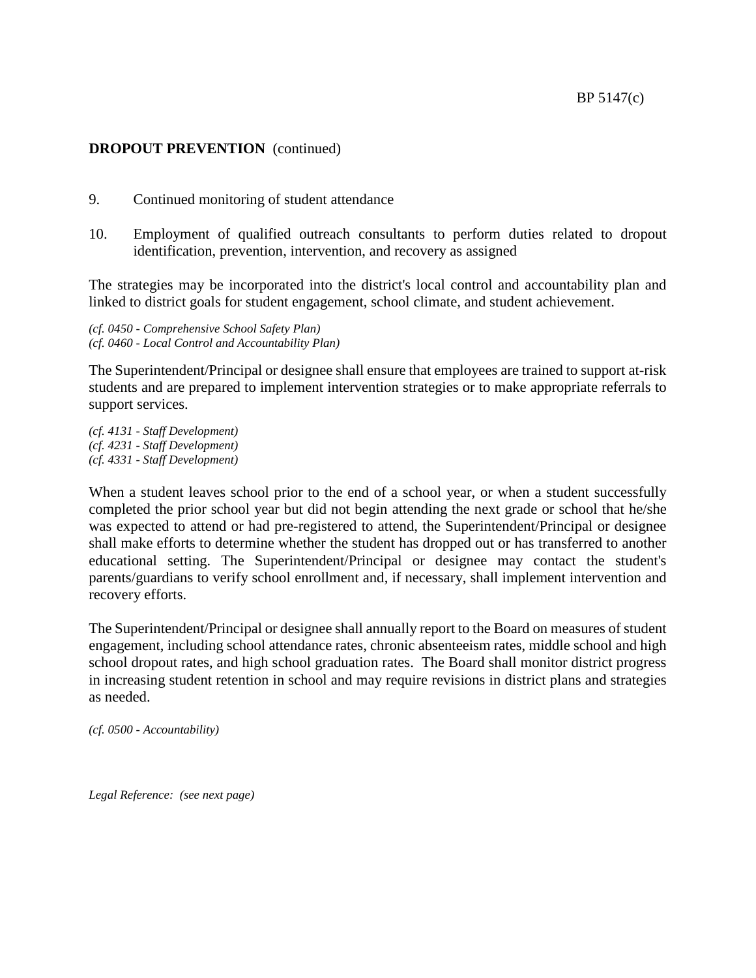## **DROPOUT PREVENTION** (continued)

- 9. Continued monitoring of student attendance
- 10. Employment of qualified outreach consultants to perform duties related to dropout identification, prevention, intervention, and recovery as assigned

The strategies may be incorporated into the district's local control and accountability plan and linked to district goals for student engagement, school climate, and student achievement.

*(cf. 0450 - Comprehensive School Safety Plan) (cf. 0460 - Local Control and Accountability Plan)*

The Superintendent/Principal or designee shall ensure that employees are trained to support at-risk students and are prepared to implement intervention strategies or to make appropriate referrals to support services.

*(cf. 4131 - Staff Development) (cf. 4231 - Staff Development) (cf. 4331 - Staff Development)*

When a student leaves school prior to the end of a school year, or when a student successfully completed the prior school year but did not begin attending the next grade or school that he/she was expected to attend or had pre-registered to attend, the Superintendent/Principal or designee shall make efforts to determine whether the student has dropped out or has transferred to another educational setting. The Superintendent/Principal or designee may contact the student's parents/guardians to verify school enrollment and, if necessary, shall implement intervention and recovery efforts.

The Superintendent/Principal or designee shall annually report to the Board on measures of student engagement, including school attendance rates, chronic absenteeism rates, middle school and high school dropout rates, and high school graduation rates. The Board shall monitor district progress in increasing student retention in school and may require revisions in district plans and strategies as needed.

*(cf. 0500 - Accountability)*

*Legal Reference: (see next page)*